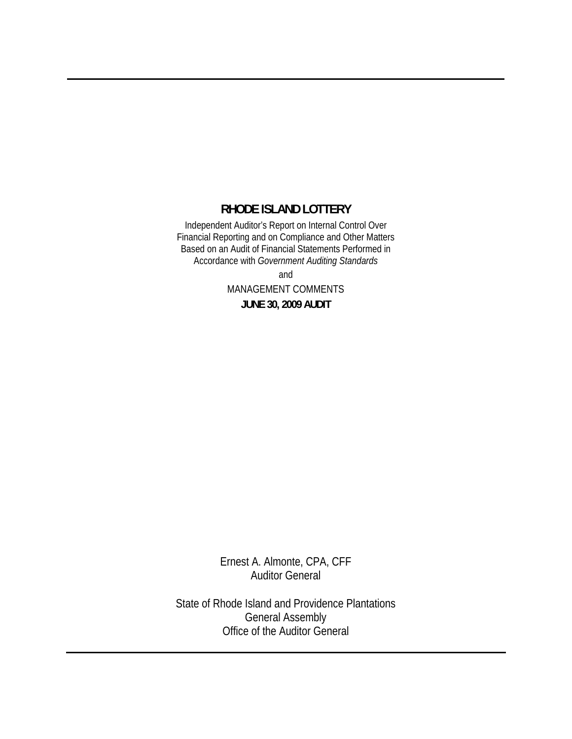#### **RHODE ISLAND LOTTERY**

Independent Auditor's Report on Internal Control Over Financial Reporting and on Compliance and Other Matters Based on an Audit of Financial Statements Performed in Accordance with *Government Auditing Standards*

> and MANAGEMENT COMMENTS **JUNE 30, 2009 AUDIT**

Ernest A. Almonte, CPA, CFF Auditor General

State of Rhode Island and Providence Plantations General Assembly Office of the Auditor General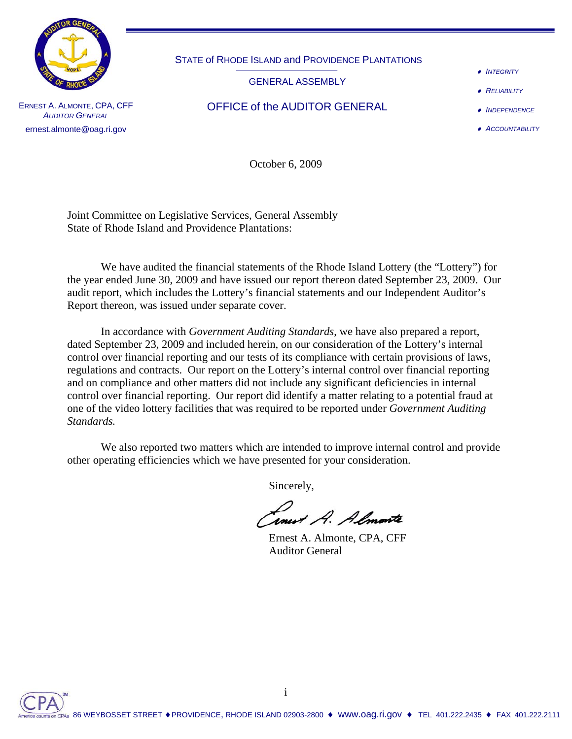

STATE of RHODE ISLAND and PROVIDENCE PLANTATIONS

GENERAL ASSEMBLY

♦ *INTEGRITY*

♦ *RELIABILITY*

ERNEST A. ALMONTE, CPA, CFF  $O$  FFICE of the AUDITOR GENERAL

♦ *INDEPENDENCE* ♦ *ACCOUNTABILITY*

*AUDITOR GENERAL* ernest.almonte@oag.ri.gov

October 6, 2009

Joint Committee on Legislative Services, General Assembly State of Rhode Island and Providence Plantations:

 We have audited the financial statements of the Rhode Island Lottery (the "Lottery") for the year ended June 30, 2009 and have issued our report thereon dated September 23, 2009. Our audit report, which includes the Lottery's financial statements and our Independent Auditor's Report thereon, was issued under separate cover.

In accordance with *Government Auditing Standards*, we have also prepared a report, dated September 23, 2009 and included herein, on our consideration of the Lottery's internal control over financial reporting and our tests of its compliance with certain provisions of laws, regulations and contracts. Our report on the Lottery's internal control over financial reporting and on compliance and other matters did not include any significant deficiencies in internal control over financial reporting. Our report did identify a matter relating to a potential fraud at one of the video lottery facilities that was required to be reported under *Government Auditing Standards.*

 We also reported two matters which are intended to improve internal control and provide other operating efficiencies which we have presented for your consideration.

Sincerely,

*Inest A. Almonte*<br>Ernest A. Almonte, CPA, CFF

Auditor General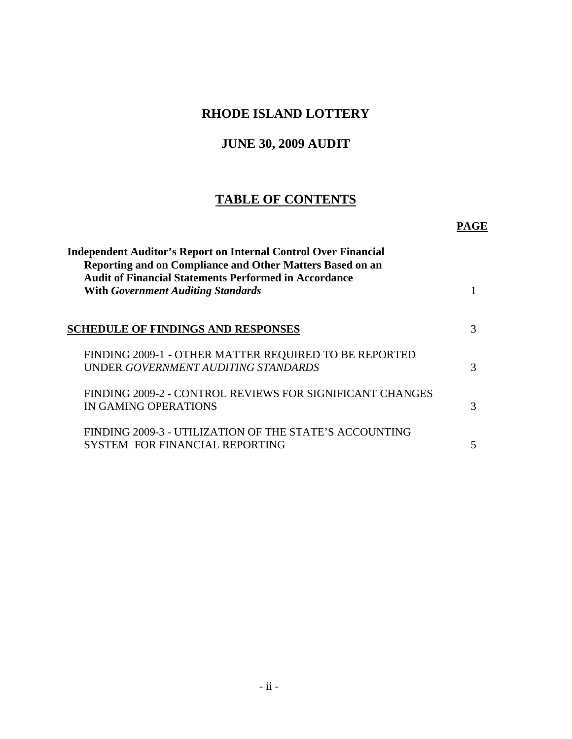### **RHODE ISLAND LOTTERY**

# **JUNE 30, 2009 AUDIT**

# **TABLE OF CONTENTS**

#### **PAGE**

| <b>Independent Auditor's Report on Internal Control Over Financial</b><br>Reporting and on Compliance and Other Matters Based on an |   |
|-------------------------------------------------------------------------------------------------------------------------------------|---|
| <b>Audit of Financial Statements Performed in Accordance</b><br><b>With Government Auditing Standards</b>                           |   |
| <b>SCHEDULE OF FINDINGS AND RESPONSES</b>                                                                                           | 3 |
| FINDING 2009-1 - OTHER MATTER REQUIRED TO BE REPORTED<br>UNDER GOVERNMENT AUDITING STANDARDS                                        | 3 |
| FINDING 2009-2 - CONTROL REVIEWS FOR SIGNIFICANT CHANGES<br>IN GAMING OPERATIONS                                                    | 3 |
| FINDING 2009-3 - UTILIZATION OF THE STATE'S ACCOUNTING<br>SYSTEM FOR FINANCIAL REPORTING                                            | 5 |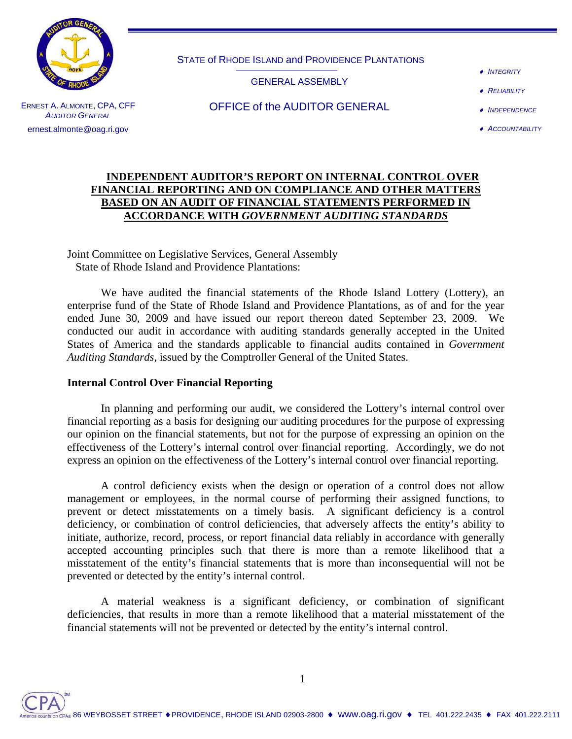

STATE of RHODE ISLAND and PROVIDENCE PLANTATIONS

GENERAL ASSEMBLY

- ♦ *INTEGRITY*
- ♦ *RELIABILITY*

ERNEST A. ALMONTE, CPA, CFF *AUDITOR GENERAL* ernest.almonte@oag.ri.gov

OFFICE of the AUDITOR GENERAL

♦ *INDEPENDENCE* ♦ *ACCOUNTABILITY*

#### **INDEPENDENT AUDITOR'S REPORT ON INTERNAL CONTROL OVER FINANCIAL REPORTING AND ON COMPLIANCE AND OTHER MATTERS BASED ON AN AUDIT OF FINANCIAL STATEMENTS PERFORMED IN ACCORDANCE WITH** *GOVERNMENT AUDITING STANDARDS*

Joint Committee on Legislative Services, General Assembly State of Rhode Island and Providence Plantations:

 We have audited the financial statements of the Rhode Island Lottery (Lottery), an enterprise fund of the State of Rhode Island and Providence Plantations, as of and for the year ended June 30, 2009 and have issued our report thereon dated September 23, 2009. We conducted our audit in accordance with auditing standards generally accepted in the United States of America and the standards applicable to financial audits contained in *Government Auditing Standards*, issued by the Comptroller General of the United States.

#### **Internal Control Over Financial Reporting**

 In planning and performing our audit, we considered the Lottery's internal control over financial reporting as a basis for designing our auditing procedures for the purpose of expressing our opinion on the financial statements, but not for the purpose of expressing an opinion on the effectiveness of the Lottery's internal control over financial reporting. Accordingly, we do not express an opinion on the effectiveness of the Lottery's internal control over financial reporting.

 A control deficiency exists when the design or operation of a control does not allow management or employees, in the normal course of performing their assigned functions, to prevent or detect misstatements on a timely basis. A significant deficiency is a control deficiency, or combination of control deficiencies, that adversely affects the entity's ability to initiate, authorize, record, process, or report financial data reliably in accordance with generally accepted accounting principles such that there is more than a remote likelihood that a misstatement of the entity's financial statements that is more than inconsequential will not be prevented or detected by the entity's internal control.

 A material weakness is a significant deficiency, or combination of significant deficiencies, that results in more than a remote likelihood that a material misstatement of the financial statements will not be prevented or detected by the entity's internal control.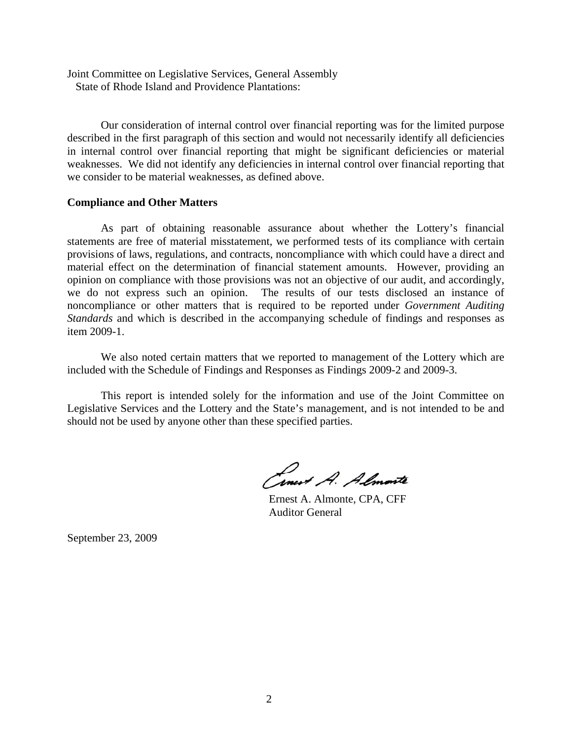Joint Committee on Legislative Services, General Assembly State of Rhode Island and Providence Plantations:

 Our consideration of internal control over financial reporting was for the limited purpose described in the first paragraph of this section and would not necessarily identify all deficiencies in internal control over financial reporting that might be significant deficiencies or material weaknesses. We did not identify any deficiencies in internal control over financial reporting that we consider to be material weaknesses, as defined above.

#### **Compliance and Other Matters**

 As part of obtaining reasonable assurance about whether the Lottery's financial statements are free of material misstatement, we performed tests of its compliance with certain provisions of laws, regulations, and contracts, noncompliance with which could have a direct and material effect on the determination of financial statement amounts. However, providing an opinion on compliance with those provisions was not an objective of our audit, and accordingly, we do not express such an opinion. The results of our tests disclosed an instance of noncompliance or other matters that is required to be reported under *Government Auditing Standards* and which is described in the accompanying schedule of findings and responses as item 2009-1.

 We also noted certain matters that we reported to management of the Lottery which are included with the Schedule of Findings and Responses as Findings 2009-2 and 2009-3.

 This report is intended solely for the information and use of the Joint Committee on Legislative Services and the Lottery and the State's management, and is not intended to be and should not be used by anyone other than these specified parties.

Cinet A. Almonte

 Ernest A. Almonte, CPA, CFF Auditor General

September 23, 2009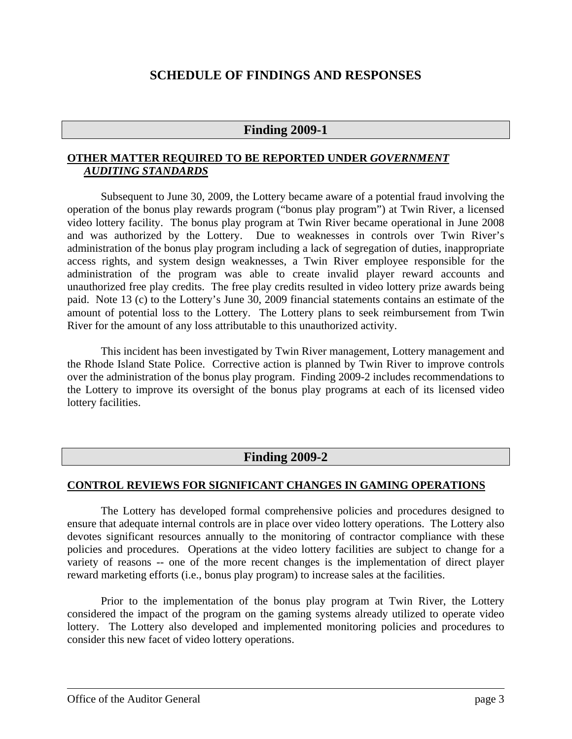### **SCHEDULE OF FINDINGS AND RESPONSES**

#### **Finding 2009-1**

#### **OTHER MATTER REQUIRED TO BE REPORTED UNDER** *GOVERNMENT AUDITING STANDARDS*

Subsequent to June 30, 2009, the Lottery became aware of a potential fraud involving the operation of the bonus play rewards program ("bonus play program") at Twin River, a licensed video lottery facility. The bonus play program at Twin River became operational in June 2008 and was authorized by the Lottery. Due to weaknesses in controls over Twin River's administration of the bonus play program including a lack of segregation of duties, inappropriate access rights, and system design weaknesses, a Twin River employee responsible for the administration of the program was able to create invalid player reward accounts and unauthorized free play credits. The free play credits resulted in video lottery prize awards being paid. Note 13 (c) to the Lottery's June 30, 2009 financial statements contains an estimate of the amount of potential loss to the Lottery. The Lottery plans to seek reimbursement from Twin River for the amount of any loss attributable to this unauthorized activity.

This incident has been investigated by Twin River management, Lottery management and the Rhode Island State Police. Corrective action is planned by Twin River to improve controls over the administration of the bonus play program. Finding 2009-2 includes recommendations to the Lottery to improve its oversight of the bonus play programs at each of its licensed video lottery facilities.

#### **Finding 2009-2**

#### **CONTROL REVIEWS FOR SIGNIFICANT CHANGES IN GAMING OPERATIONS**

The Lottery has developed formal comprehensive policies and procedures designed to ensure that adequate internal controls are in place over video lottery operations. The Lottery also devotes significant resources annually to the monitoring of contractor compliance with these policies and procedures. Operations at the video lottery facilities are subject to change for a variety of reasons -- one of the more recent changes is the implementation of direct player reward marketing efforts (i.e., bonus play program) to increase sales at the facilities.

Prior to the implementation of the bonus play program at Twin River, the Lottery considered the impact of the program on the gaming systems already utilized to operate video lottery. The Lottery also developed and implemented monitoring policies and procedures to consider this new facet of video lottery operations.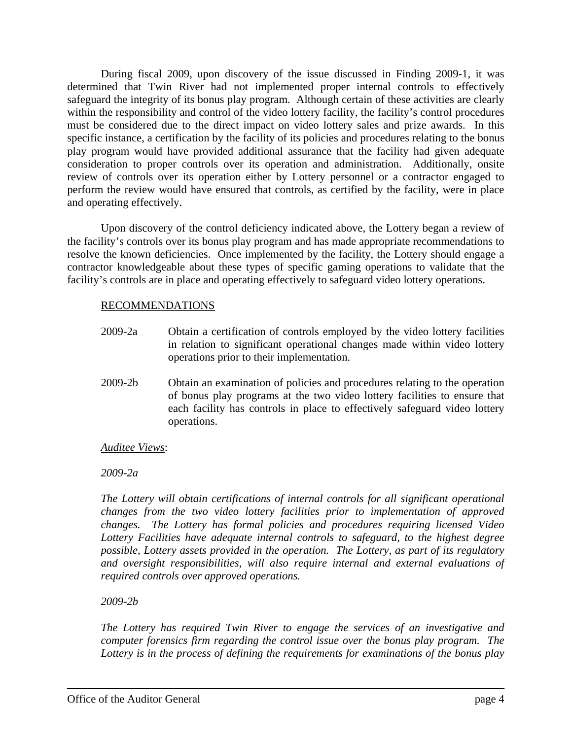During fiscal 2009, upon discovery of the issue discussed in Finding 2009-1, it was determined that Twin River had not implemented proper internal controls to effectively safeguard the integrity of its bonus play program. Although certain of these activities are clearly within the responsibility and control of the video lottery facility, the facility's control procedures must be considered due to the direct impact on video lottery sales and prize awards. In this specific instance, a certification by the facility of its policies and procedures relating to the bonus play program would have provided additional assurance that the facility had given adequate consideration to proper controls over its operation and administration. Additionally, onsite review of controls over its operation either by Lottery personnel or a contractor engaged to perform the review would have ensured that controls, as certified by the facility, were in place and operating effectively.

Upon discovery of the control deficiency indicated above, the Lottery began a review of the facility's controls over its bonus play program and has made appropriate recommendations to resolve the known deficiencies. Once implemented by the facility, the Lottery should engage a contractor knowledgeable about these types of specific gaming operations to validate that the facility's controls are in place and operating effectively to safeguard video lottery operations.

#### RECOMMENDATIONS

- 2009-2a Obtain a certification of controls employed by the video lottery facilities in relation to significant operational changes made within video lottery operations prior to their implementation.
- 2009-2b Obtain an examination of policies and procedures relating to the operation of bonus play programs at the two video lottery facilities to ensure that each facility has controls in place to effectively safeguard video lottery operations.

#### *Auditee Views*:

*2009-2a* 

*The Lottery will obtain certifications of internal controls for all significant operational changes from the two video lottery facilities prior to implementation of approved changes. The Lottery has formal policies and procedures requiring licensed Video Lottery Facilities have adequate internal controls to safeguard, to the highest degree possible, Lottery assets provided in the operation. The Lottery, as part of its regulatory and oversight responsibilities, will also require internal and external evaluations of required controls over approved operations.* 

#### *2009-2b*

*The Lottery has required Twin River to engage the services of an investigative and computer forensics firm regarding the control issue over the bonus play program. The Lottery is in the process of defining the requirements for examinations of the bonus play*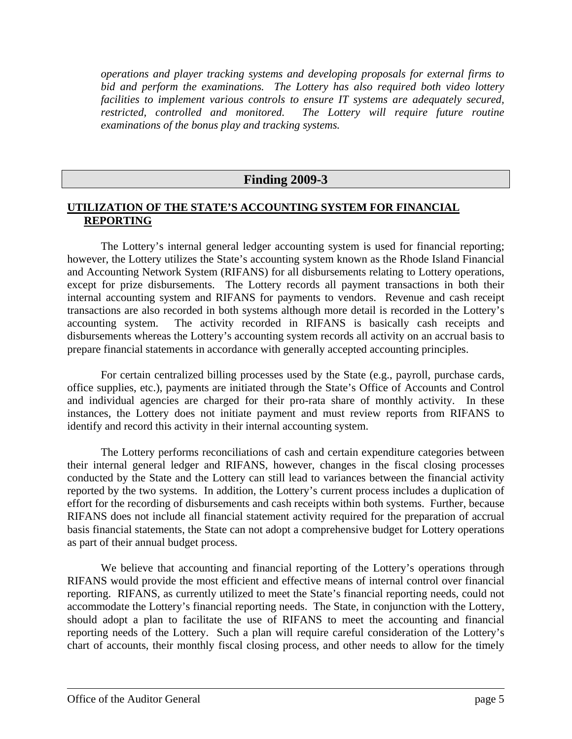*operations and player tracking systems and developing proposals for external firms to bid and perform the examinations. The Lottery has also required both video lottery facilities to implement various controls to ensure IT systems are adequately secured, restricted, controlled and monitored. The Lottery will require future routine examinations of the bonus play and tracking systems.* 

#### **Finding 2009-3**

#### **UTILIZATION OF THE STATE'S ACCOUNTING SYSTEM FOR FINANCIAL REPORTING**

The Lottery's internal general ledger accounting system is used for financial reporting; however, the Lottery utilizes the State's accounting system known as the Rhode Island Financial and Accounting Network System (RIFANS) for all disbursements relating to Lottery operations, except for prize disbursements. The Lottery records all payment transactions in both their internal accounting system and RIFANS for payments to vendors. Revenue and cash receipt transactions are also recorded in both systems although more detail is recorded in the Lottery's accounting system. The activity recorded in RIFANS is basically cash receipts and disbursements whereas the Lottery's accounting system records all activity on an accrual basis to prepare financial statements in accordance with generally accepted accounting principles.

For certain centralized billing processes used by the State (e.g., payroll, purchase cards, office supplies, etc.), payments are initiated through the State's Office of Accounts and Control and individual agencies are charged for their pro-rata share of monthly activity. In these instances, the Lottery does not initiate payment and must review reports from RIFANS to identify and record this activity in their internal accounting system.

The Lottery performs reconciliations of cash and certain expenditure categories between their internal general ledger and RIFANS, however, changes in the fiscal closing processes conducted by the State and the Lottery can still lead to variances between the financial activity reported by the two systems. In addition, the Lottery's current process includes a duplication of effort for the recording of disbursements and cash receipts within both systems. Further, because RIFANS does not include all financial statement activity required for the preparation of accrual basis financial statements, the State can not adopt a comprehensive budget for Lottery operations as part of their annual budget process.

We believe that accounting and financial reporting of the Lottery's operations through RIFANS would provide the most efficient and effective means of internal control over financial reporting. RIFANS, as currently utilized to meet the State's financial reporting needs, could not accommodate the Lottery's financial reporting needs. The State, in conjunction with the Lottery, should adopt a plan to facilitate the use of RIFANS to meet the accounting and financial reporting needs of the Lottery. Such a plan will require careful consideration of the Lottery's chart of accounts, their monthly fiscal closing process, and other needs to allow for the timely